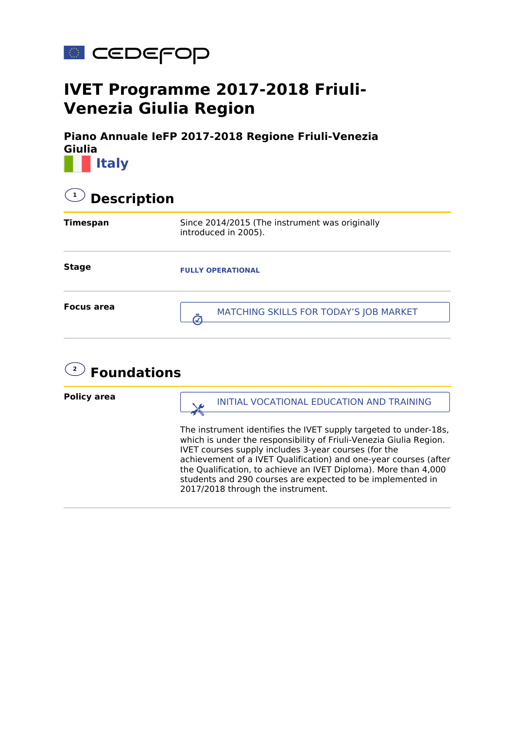

## **IVET Programme 2017-2018 Friuli-Venezia Giulia Region**

**Piano Annuale IeFP 2017-2018 Regione Friuli-Venezia Giulia Italy**

| <b>Description</b> |                                                                        |  |
|--------------------|------------------------------------------------------------------------|--|
| <b>Timespan</b>    | Since 2014/2015 (The instrument was originally<br>introduced in 2005). |  |
| <b>Stage</b>       | <b>FULLY OPERATIONAL</b>                                               |  |
| <b>Focus area</b>  | MATCHING SKILLS FOR TODAY'S JOB MARKET                                 |  |



**Policy area** The instrument identifies the IVET supply targeted to under-18s, which is under the responsibility of Friuli-Venezia Giulia Region. IVET courses supply includes 3-year courses (for the achievement of a IVET Qualification) and one-year courses (after the Qualification, to achieve an IVET Diploma). More than 4,000 students and 290 courses are expected to be implemented in 2017/2018 through the instrument. **INITIAL VOCATIONAL EDUCATION AND TRAINING**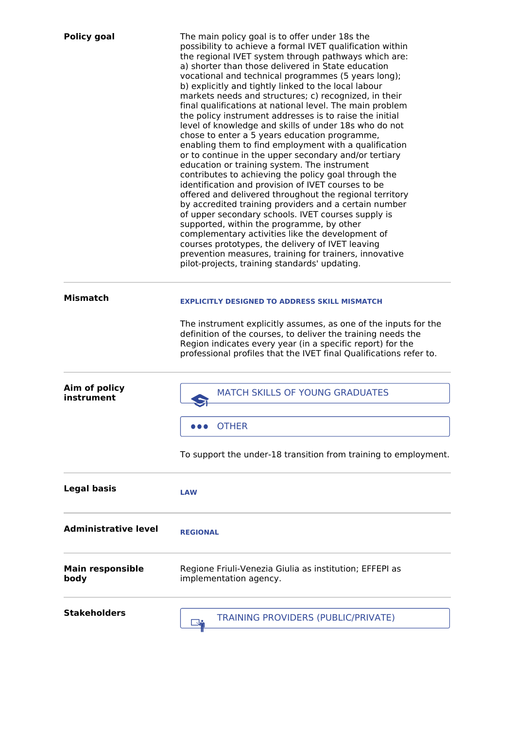| <b>Policy goal</b>              | The main policy goal is to offer under 18s the<br>possibility to achieve a formal IVET qualification within<br>the regional IVET system through pathways which are:<br>a) shorter than those delivered in State education<br>vocational and technical programmes (5 years long);<br>b) explicitly and tightly linked to the local labour<br>markets needs and structures; c) recognized, in their<br>final qualifications at national level. The main problem<br>the policy instrument addresses is to raise the initial<br>level of knowledge and skills of under 18s who do not<br>chose to enter a 5 years education programme,<br>enabling them to find employment with a qualification<br>or to continue in the upper secondary and/or tertiary<br>education or training system. The instrument<br>contributes to achieving the policy goal through the<br>identification and provision of IVET courses to be<br>offered and delivered throughout the regional territory<br>by accredited training providers and a certain number<br>of upper secondary schools. IVET courses supply is<br>supported, within the programme, by other<br>complementary activities like the development of<br>courses prototypes, the delivery of IVET leaving<br>prevention measures, training for trainers, innovative<br>pilot-projects, training standards' updating. |
|---------------------------------|--------------------------------------------------------------------------------------------------------------------------------------------------------------------------------------------------------------------------------------------------------------------------------------------------------------------------------------------------------------------------------------------------------------------------------------------------------------------------------------------------------------------------------------------------------------------------------------------------------------------------------------------------------------------------------------------------------------------------------------------------------------------------------------------------------------------------------------------------------------------------------------------------------------------------------------------------------------------------------------------------------------------------------------------------------------------------------------------------------------------------------------------------------------------------------------------------------------------------------------------------------------------------------------------------------------------------------------------------------------|
| <b>Mismatch</b>                 | <b>EXPLICITLY DESIGNED TO ADDRESS SKILL MISMATCH</b><br>The instrument explicitly assumes, as one of the inputs for the<br>definition of the courses, to deliver the training needs the<br>Region indicates every year (in a specific report) for the<br>professional profiles that the IVET final Qualifications refer to.                                                                                                                                                                                                                                                                                                                                                                                                                                                                                                                                                                                                                                                                                                                                                                                                                                                                                                                                                                                                                                  |
| Aim of policy<br>instrument     | <b>MATCH SKILLS OF YOUNG GRADUATES</b><br><b>OTHER</b><br>To support the under-18 transition from training to employment.                                                                                                                                                                                                                                                                                                                                                                                                                                                                                                                                                                                                                                                                                                                                                                                                                                                                                                                                                                                                                                                                                                                                                                                                                                    |
| <b>Legal basis</b>              | <b>LAW</b>                                                                                                                                                                                                                                                                                                                                                                                                                                                                                                                                                                                                                                                                                                                                                                                                                                                                                                                                                                                                                                                                                                                                                                                                                                                                                                                                                   |
| <b>Administrative level</b>     | <b>REGIONAL</b>                                                                                                                                                                                                                                                                                                                                                                                                                                                                                                                                                                                                                                                                                                                                                                                                                                                                                                                                                                                                                                                                                                                                                                                                                                                                                                                                              |
| <b>Main responsible</b><br>body | Regione Friuli-Venezia Giulia as institution; EFFEPI as<br>implementation agency.                                                                                                                                                                                                                                                                                                                                                                                                                                                                                                                                                                                                                                                                                                                                                                                                                                                                                                                                                                                                                                                                                                                                                                                                                                                                            |
| <b>Stakeholders</b>             | <b>TRAINING PROVIDERS (PUBLIC/PRIVATE)</b>                                                                                                                                                                                                                                                                                                                                                                                                                                                                                                                                                                                                                                                                                                                                                                                                                                                                                                                                                                                                                                                                                                                                                                                                                                                                                                                   |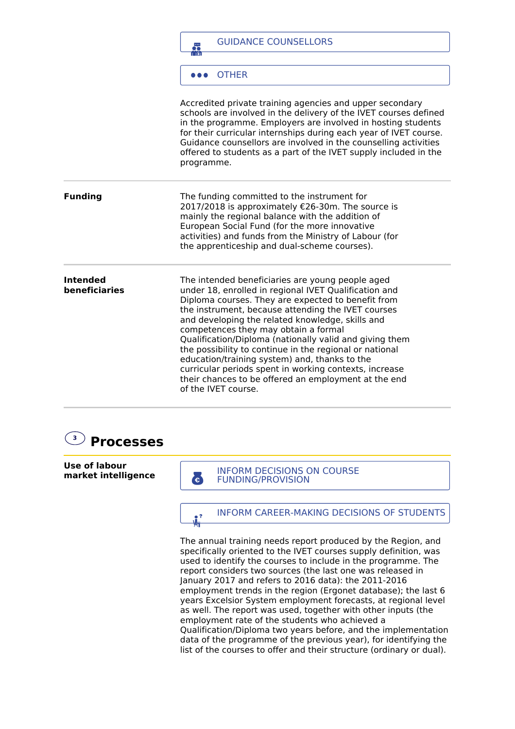|                                  | <b>GUIDANCE COUNSELLORS</b><br>篇                                                                                                                                                                                                                                                                                                                                                                                                                                                                                                                                                                                                  |
|----------------------------------|-----------------------------------------------------------------------------------------------------------------------------------------------------------------------------------------------------------------------------------------------------------------------------------------------------------------------------------------------------------------------------------------------------------------------------------------------------------------------------------------------------------------------------------------------------------------------------------------------------------------------------------|
|                                  | <b>OTHER</b>                                                                                                                                                                                                                                                                                                                                                                                                                                                                                                                                                                                                                      |
|                                  | Accredited private training agencies and upper secondary<br>schools are involved in the delivery of the IVET courses defined<br>in the programme. Employers are involved in hosting students<br>for their curricular internships during each year of IVET course.<br>Guidance counsellors are involved in the counselling activities<br>offered to students as a part of the IVET supply included in the<br>programme.                                                                                                                                                                                                            |
| <b>Funding</b>                   | The funding committed to the instrument for<br>2017/2018 is approximately €26-30m. The source is<br>mainly the regional balance with the addition of<br>European Social Fund (for the more innovative<br>activities) and funds from the Ministry of Labour (for<br>the apprenticeship and dual-scheme courses).                                                                                                                                                                                                                                                                                                                   |
| <b>Intended</b><br>beneficiaries | The intended beneficiaries are young people aged<br>under 18, enrolled in regional IVET Qualification and<br>Diploma courses. They are expected to benefit from<br>the instrument, because attending the IVET courses<br>and developing the related knowledge, skills and<br>competences they may obtain a formal<br>Qualification/Diploma (nationally valid and giving them<br>the possibility to continue in the regional or national<br>education/training system) and, thanks to the<br>curricular periods spent in working contexts, increase<br>their chances to be offered an employment at the end<br>of the IVET course. |



**Use of labour market intelligence**

**ENDERGALA INFORM DECISIONS ON COURSE** 

**INFORM CAREER-MAKING DECISIONS OF STUDENTS** 

The annual training needs report produced by the Region, and specifically oriented to the IVET courses supply definition, was used to identify the courses to include in the programme. The report considers two sources (the last one was released in January 2017 and refers to 2016 data): the 2011-2016 employment trends in the region (Ergonet database); the last 6 years Excelsior System employment forecasts, at regional level as well. The report was used, together with other inputs (the employment rate of the students who achieved a Qualification/Diploma two years before, and the implementation data of the programme of the previous year), for identifying the list of the courses to offer and their structure (ordinary or dual).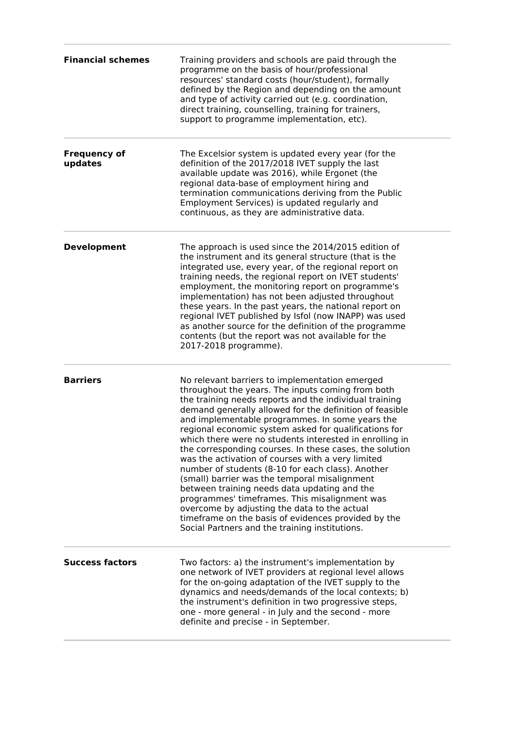| <b>Financial schemes</b>       | Training providers and schools are paid through the<br>programme on the basis of hour/professional<br>resources' standard costs (hour/student), formally<br>defined by the Region and depending on the amount<br>and type of activity carried out (e.g. coordination,<br>direct training, counselling, training for trainers,<br>support to programme implementation, etc).                                                                                                                                                                                                                                                                                                                                                                                                                                                                                                     |
|--------------------------------|---------------------------------------------------------------------------------------------------------------------------------------------------------------------------------------------------------------------------------------------------------------------------------------------------------------------------------------------------------------------------------------------------------------------------------------------------------------------------------------------------------------------------------------------------------------------------------------------------------------------------------------------------------------------------------------------------------------------------------------------------------------------------------------------------------------------------------------------------------------------------------|
| <b>Frequency of</b><br>updates | The Excelsior system is updated every year (for the<br>definition of the 2017/2018 IVET supply the last<br>available update was 2016), while Ergonet (the<br>regional data-base of employment hiring and<br>termination communications deriving from the Public<br>Employment Services) is updated regularly and<br>continuous, as they are administrative data.                                                                                                                                                                                                                                                                                                                                                                                                                                                                                                                |
| <b>Development</b>             | The approach is used since the 2014/2015 edition of<br>the instrument and its general structure (that is the<br>integrated use, every year, of the regional report on<br>training needs, the regional report on IVET students'<br>employment, the monitoring report on programme's<br>implementation) has not been adjusted throughout<br>these years. In the past years, the national report on<br>regional IVET published by Isfol (now INAPP) was used<br>as another source for the definition of the programme<br>contents (but the report was not available for the<br>2017-2018 programme).                                                                                                                                                                                                                                                                               |
| <b>Barriers</b>                | No relevant barriers to implementation emerged<br>throughout the years. The inputs coming from both<br>the training needs reports and the individual training<br>demand generally allowed for the definition of feasible<br>and implementable programmes. In some years the<br>regional economic system asked for qualifications for<br>which there were no students interested in enrolling in<br>the corresponding courses. In these cases, the solution<br>was the activation of courses with a very limited<br>number of students (8-10 for each class). Another<br>(small) barrier was the temporal misalignment<br>between training needs data updating and the<br>programmes' timeframes. This misalignment was<br>overcome by adjusting the data to the actual<br>timeframe on the basis of evidences provided by the<br>Social Partners and the training institutions. |
| <b>Success factors</b>         | Two factors: a) the instrument's implementation by<br>one network of IVET providers at regional level allows<br>for the on-going adaptation of the IVET supply to the<br>dynamics and needs/demands of the local contexts; b)<br>the instrument's definition in two progressive steps,<br>one - more general - in July and the second - more<br>definite and precise - in September.                                                                                                                                                                                                                                                                                                                                                                                                                                                                                            |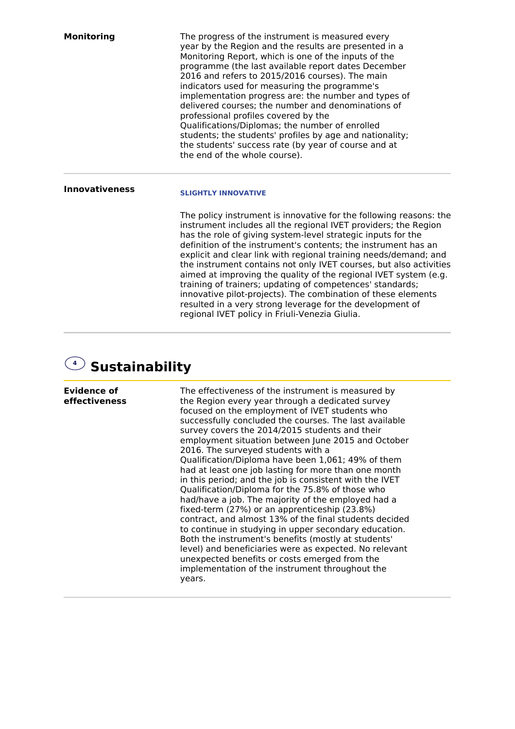| <b>Monitoring</b>     | The progress of the instrument is measured every<br>year by the Region and the results are presented in a<br>Monitoring Report, which is one of the inputs of the<br>programme (the last available report dates December<br>2016 and refers to 2015/2016 courses). The main<br>indicators used for measuring the programme's<br>implementation progress are: the number and types of<br>delivered courses; the number and denominations of<br>professional profiles covered by the<br>Qualifications/Diplomas; the number of enrolled<br>students; the students' profiles by age and nationality;<br>the students' success rate (by year of course and at<br>the end of the whole course). |
|-----------------------|--------------------------------------------------------------------------------------------------------------------------------------------------------------------------------------------------------------------------------------------------------------------------------------------------------------------------------------------------------------------------------------------------------------------------------------------------------------------------------------------------------------------------------------------------------------------------------------------------------------------------------------------------------------------------------------------|
| <b>Innovativeness</b> | <b>SLIGHTLY INNOVATIVE</b><br>The policy instrument is innovative for the following reasons: the<br>instrument includes all the regional IVET providers; the Region<br>has the role of giving system-level strategic inputs for the<br>definition of the instrument's contents; the instrument has an<br>explicit and clear link with regional training needs/demand; and<br>the instrument contains not only IVET courses, but also activities<br>aimed at improving the quality of the regional IVET system (e.g.<br>training of trainers; updating of competences' standards;                                                                                                           |
|                       | innovative pilot-projects). The combination of these elements<br>resulted in a very strong leverage for the development of<br>regional IVET policy in Friuli-Venezia Giulia.                                                                                                                                                                                                                                                                                                                                                                                                                                                                                                               |



**Evidence of effectiveness** The effectiveness of the instrument is measured by the Region every year through a dedicated survey focused on the employment of IVET students who successfully concluded the courses. The last available survey covers the 2014/2015 students and their employment situation between June 2015 and October 2016. The surveyed students with a Qualification/Diploma have been 1,061; 49% of them had at least one job lasting for more than one month in this period; and the job is consistent with the IVET Qualification/Diploma for the 75.8% of those who had/have a job. The majority of the employed had a fixed-term (27%) or an apprenticeship (23.8%) contract, and almost 13% of the final students decided to continue in studying in upper secondary education. Both the instrument's benefits (mostly at students' level) and beneficiaries were as expected. No relevant unexpected benefits or costs emerged from the implementation of the instrument throughout the years.